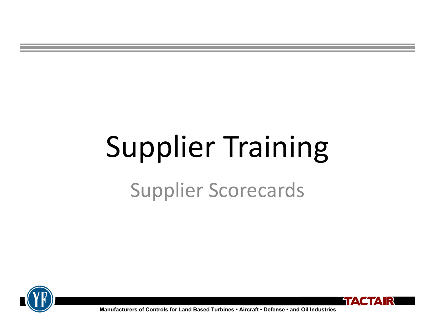# Supplier Training

#### Supplier Scorecards





**Manufacturers of Controls for Land Based Turbines • Aircraft • Defense • and Oil Industries**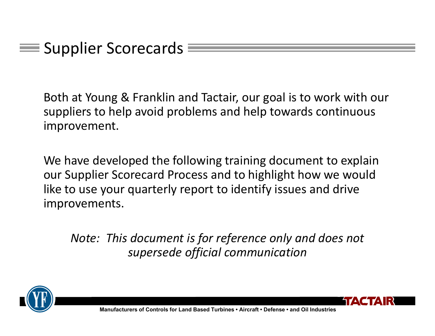$\equiv$  Supplier Scorecards

Both at Young & Franklin and Tactair, our goal is to work with our suppliers to help avoid problems and help towards continuous improvement.

We have developed the following training document to explain our Supplier Scorecard Process and to highlight how we would like to use your quarterly report to identify issues and drive improvements.

*Note: This document is for reference only and does not supersede official communication*



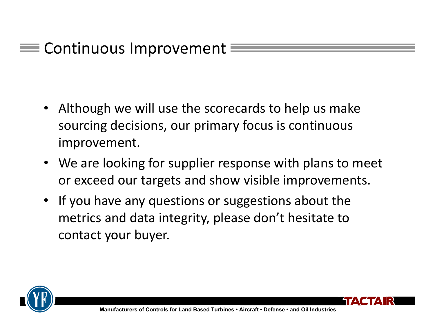#### Continuous Improvement

- $\bullet$  Although we will use the scorecards to help us make sourcing decisions, our primary focus is continuous improvement.
- We are looking for supplier response with plans to meet or exceed our targets and show visible improvements.
- If you have any questions or suggestions about the metrics and data integrity, please don't hesitate to contact your buyer.



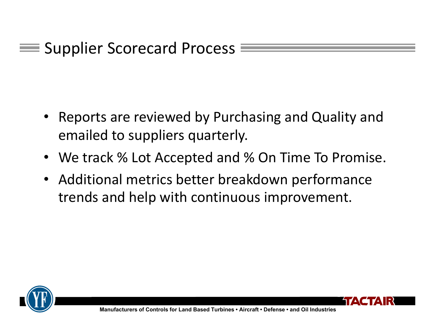- Reports are reviewed by Purchasing and Quality and emailed to suppliers quarterly.
- We track % Lot Accepted and % On Time To Promise.
- Additional metrics better breakdown performance trends and help with continuous improvement.



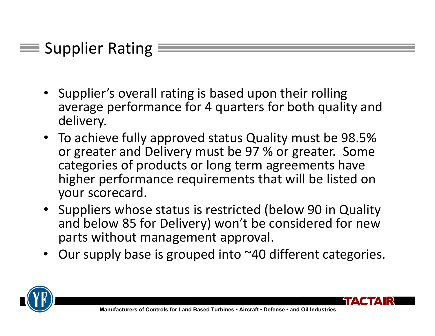#### Supplier Rating

- Supplier's overall rating is based upon their rolling average performance for 4 quarters for both quality and delivery.
- To achieve fully approved status Quality must be 98.5% or greater and Delivery must be 97 % or greater. Some categories of products or long term agreements have higher performance requirements that will be listed on your scorecard.
- Suppliers whose status is restricted (below 90 in Quality and below 85 for Delivery) won't be considered for new parts without management approval.
- •Our supply base is grouped into ~40 different categories.

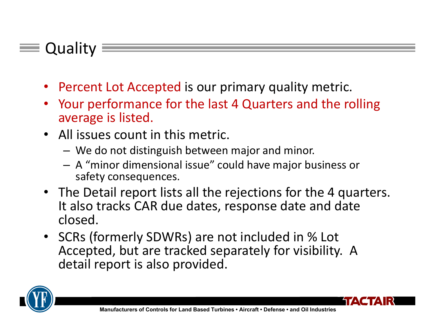#### Quality

- Percent Lot Accepted is our primary quality metric.
- • Your performance for the last 4 Quarters and the rolling average is listed.
- All issues count in this metric.
	- –We do not distinguish between major and minor.
	- – A "minor dimensional issue" could have major business or safety consequences.
- The Detail report lists all the rejections for the 4 quarters. It also tracks CAR due dates, response date and date closed.
- SCRs (formerly SDWRs) are not included in % Lot Accepted, but are tracked separately for visibility. A detail report is also provided.

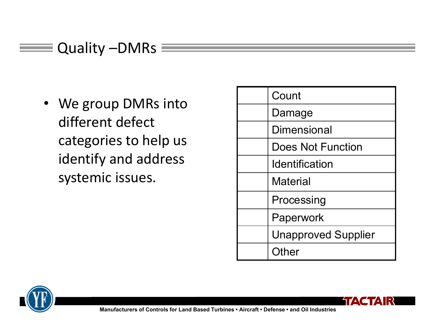#### Quality –DMRs  $\equiv$ and i

• We group DMRs into different defect categories to help us identify and address systemic issues.

| Count                      |
|----------------------------|
| Damage                     |
| <b>Dimensional</b>         |
| <b>Does Not Function</b>   |
| <b>Identification</b>      |
| <b>Material</b>            |
| Processing                 |
| Paperwork                  |
| <b>Unapproved Supplier</b> |
| Other                      |

**TAG** 



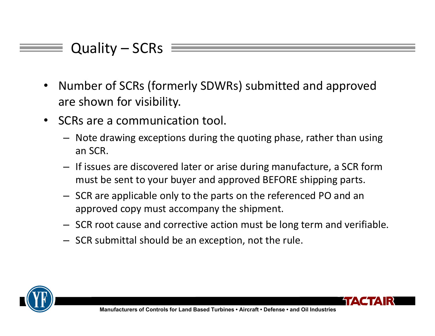#### Quality – SCRs

- • Number of SCRs (formerly SDWRs) submitted and approved are shown for visibility.
- $\bullet$  SCRs are a communication tool.
	- Note drawing exceptions during the quoting phase, rather than using an SCR.
	- If issues are discovered later or arise during manufacture, a SCR form must be sent to your buyer and approved BEFORE shipping parts.
	- SCR are applicable only to the parts on the referenced PO and an approved copy must accompany the shipment.
	- SCR root cause and corrective action must be long term and verifiable.
	- SCR submittal should be an exception, not the rule.

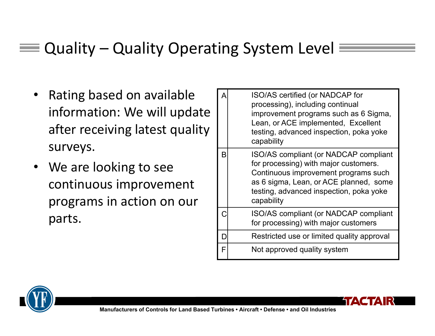#### Quality – Quality Operating System Level

- • Rating based on available information: We will update after receiving latest quality surveys.
- • We are looking to see continuous improvement programs in action on our parts.

| А | ISO/AS certified (or NADCAP for<br>processing), including continual<br>improvement programs such as 6 Sigma,<br>Lean, or ACE implemented, Excellent<br>testing, advanced inspection, poka yoke<br>capability              |
|---|---------------------------------------------------------------------------------------------------------------------------------------------------------------------------------------------------------------------------|
| B | ISO/AS compliant (or NADCAP compliant<br>for processing) with major customers.<br>Continuous improvement programs such<br>as 6 sigma, Lean, or ACE planned, some<br>testing, advanced inspection, poka yoke<br>capability |
|   | ISO/AS compliant (or NADCAP compliant<br>for processing) with major customers                                                                                                                                             |
|   | Restricted use or limited quality approval                                                                                                                                                                                |
| F | Not approved quality system                                                                                                                                                                                               |



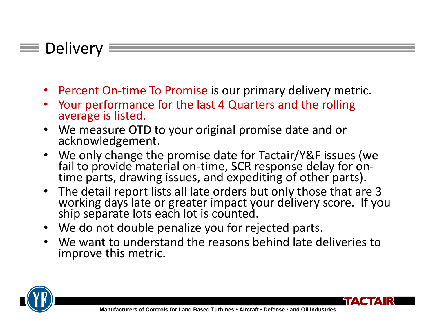#### $\equiv$  Delivery

- •Percent On‐time To Promise is our primary delivery metric.
- •Your performance for the last 4 Quarters and the rolling average is listed.
- •We measure OTD to your original promise date and or acknowledgement.
- •We only change the promise date for Tactair/Y&F issues (we fail to provide material on-time, SCR response delay for on-<br>time parts, drawing issues, and expediting of other parts).
- $\bullet$ The detail report lists all late orders but only those that are 3 working days late or greater impact your delivery score. If you ship separate lots each lot is counted.
- We do not double penalize you for rejected parts.
- We want to understand the reasons behind late deliveries to improve this metric.



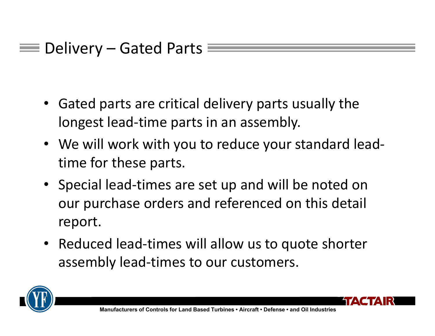```
\equiv Delivery – Gated Parts \equiv
```
- • Gated parts are critical delivery parts usually the longest lead‐time parts in an assembly.
- We will work with you to reduce your standard lead‐ time for these parts.
- Special lead‐times are set up and will be noted on our purchase orders and referenced on this detail report.
- Reduced lead-times will allow us to quote shorter assembly lead‐times to our customers.

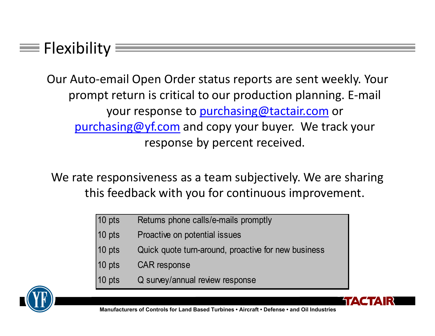#### $\equiv$  Flexibility  $\equiv$

Our Auto‐email Open Order status reports are sent weekly. Your prompt return is critical to our production planning. E‐mail your response to purchasing@tactair.com or purchasing@yf.com and copy your buyer. We track your response by percent received.

We rate responsiveness as a team subjectively. We are sharing this feedback with you for continuous improvement.

- 10 pts Returns phone calls/e-mails promptly
- 10 pts Proactive on potential issues
- 10 pts Quick quote turn-around, proactive for new business
- 10 pts CAR response
- 10 pts Q survey/annual review response

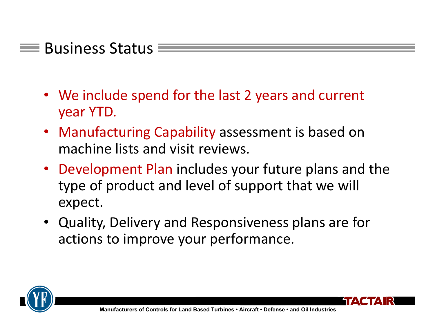#### $\equiv$  Business Status

- We include spend for the last 2 years and current year YTD.
- Manufacturing Capability assessment is based on machine lists and visit reviews.
- Development Plan includes your future plans and the type of product and level of support that we will expect.
- Quality, Delivery and Responsiveness plans are for actions to improve your performance.



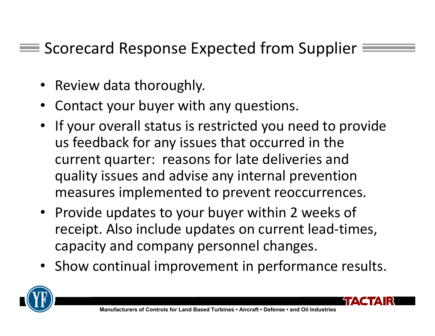#### $\equiv$  Scorecard Response Expected from Supplier  $\equiv$

- Review data thoroughly.
- Contact your buyer with any questions.
- If your overall status is restricted you need to provide us feedback for any issues that occurred in the current quarter: reasons for late deliveries and quality issues and advise any internal prevention measures implemented to prevent reoccurrences.
- Provide updates to your buyer within 2 weeks of receipt. Also include updates on current lead‐times, capacity and company personnel changes.
- Show continual improvement in performance results.